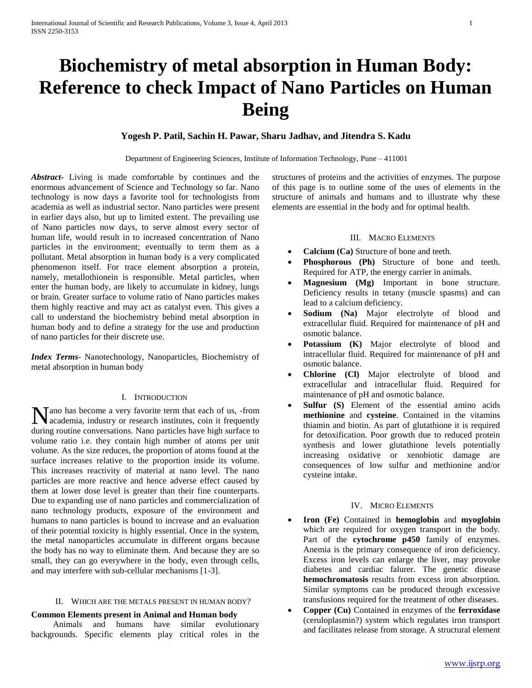# **Biochemistry of metal absorption in Human Body: Reference to check Impact of Nano Particles on Human Being**

# **Yogesh P. Patil, Sachin H. Pawar, Sharu Jadhav, and Jitendra S. Kadu**

Department of Engineering Sciences, Institute of Information Technology, Pune – 411001

*Abstract***-** Living is made comfortable by continues and the enormous advancement of Science and Technology so far. Nano technology is now days a favorite tool for technologists from academia as well as industrial sector. Nano particles were present in earlier days also, but up to limited extent. The prevailing use of Nano particles now days, to serve almost every sector of human life, would result in to increased concentration of Nano particles in the environment; eventually to term them as a pollutant. Metal absorption in human body is a very complicated phenomenon itself. For trace element absorption a protein, namely, metallothionein is responsible. Metal particles, when enter the human body, are likely to accumulate in kidney, lungs or brain. Greater surface to volume ratio of Nano particles makes them highly reactive and may act as catalyst even. This gives a call to understand the biochemistry behind metal absorption in human body and to define a strategy for the use and production of nano particles for their discrete use.

*Index Terms*- Nanotechnology, Nanoparticles, Biochemistry of metal absorption in human body

# I. INTRODUCTION

ano has become a very favorite term that each of us, -from Mano has become a very favorite term that each of us, -from<br>academia, industry or research institutes, coin it frequently during routine conversations. Nano particles have high surface to volume ratio i.e. they contain high number of atoms per unit volume. As the size reduces, the proportion of atoms found at the surface increases relative to the proportion inside its volume. This increases reactivity of material at nano level. The nano particles are more reactive and hence adverse effect caused by them at lower dose level is greater than their fine counterparts. Due to expanding use of nano particles and commercialization of nano technology products, exposure of the environment and humans to nano particles is bound to increase and an evaluation of their potential toxicity is highly essential. Once in the system, the metal nanoparticles accumulate in different organs because the body has no way to eliminate them. And because they are so small, they can go everywhere in the body, even through cells, and may interfere with sub-cellular mechanisms [1-3].

#### II. WHICH ARE THE METALS PRESENT IN HUMAN BODY?

# **Common Elements present in Animal and Human body**

 Animals and humans have similar evolutionary backgrounds. Specific elements play critical roles in the structures of proteins and the activities of enzymes. The purpose of this page is to outline some of the uses of elements in the structure of animals and humans and to illustrate why these elements are essential in the body and for optimal health.

## III. MACRO ELEMENTS

- **Calcium (Ca)** Structure of bone and teeth.
- **Phosphorous (Ph)** Structure of bone and teeth. Required for ATP, the energy carrier in animals.
- **Magnesium (Mg)** Important in bone structure. Deficiency results in tetany (muscle spasms) and can lead to a calcium deficiency.
- **Sodium (Na)** Major electrolyte of blood and extracellular fluid. Required for maintenance of pH and osmotic balance.
- **Potassium (K)** Major electrolyte of blood and intracellular fluid. Required for maintenance of pH and osmotic balance.
- **Chlorine (Cl)** Major electrolyte of blood and extracellular and intracellular fluid. Required for maintenance of pH and osmotic balance.
- **Sulfur (S)** Element of the essential amino acids **methionine** and **cysteine**. Contained in the vitamins thiamin and biotin. As part of glutathione it is required for detoxification. Poor growth due to reduced protein synthesis and lower glutathione levels potentially increasing oxidative or xenobiotic damage are consequences of low sulfur and methionine and/or cysteine intake.

### IV. MICRO ELEMENTS

- **Iron (Fe)** Contained in **hemoglobin** and **myoglobin** which are required for oxygen transport in the body. Part of the **cytochrome p450** family of enzymes. Anemia is the primary consequence of iron deficiency. Excess iron levels can enlarge the liver, may provoke diabetes and cardiac falurer. The genetic disease **hemochromatosis** results from excess iron absorption. Similar symptoms can be produced through excessive transfusions required for the treatment of other diseases.
- **Copper (Cu)** Contained in enzymes of the **ferroxidase** (ceruloplasmin?) system which regulates iron transport and facilitates release from storage. A structural element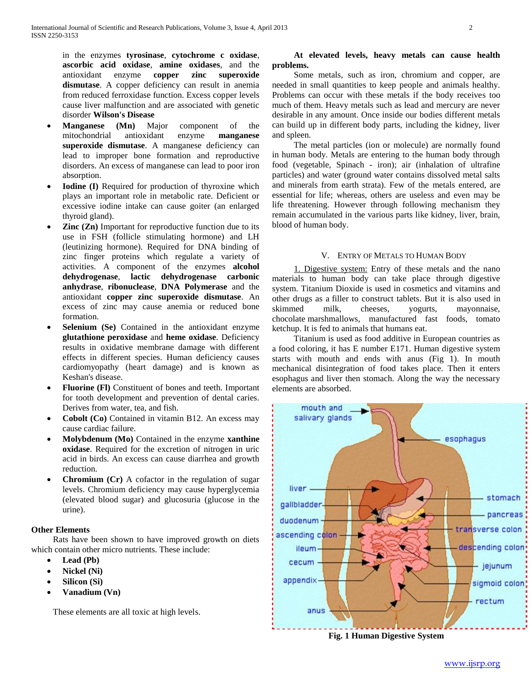in the enzymes **tyrosinase**, **cytochrome c oxidase**, **ascorbic acid oxidase**, **amine oxidases**, and the antioxidant enzyme **copper zinc superoxide dismutase**. A copper deficiency can result in anemia from reduced ferroxidase function. Excess copper levels cause liver malfunction and are associated with genetic disorder **Wilson's Disease**

- **Manganese (Mn)** Major component of the mitochondrial antioxidant enzyme **manganese superoxide dismutase**. A manganese deficiency can lead to improper bone formation and reproductive disorders. An excess of manganese can lead to poor iron absorption.
- **Iodine (I)** Required for production of thyroxine which plays an important role in metabolic rate. Deficient or excessive iodine intake can cause goiter (an enlarged thyroid gland).
- **Zinc (Zn)** Important for reproductive function due to its use in FSH (follicle stimulating hormone) and LH (leutinizing hormone). Required for DNA binding of zinc finger proteins which regulate a variety of activities. A component of the enzymes **alcohol dehydrogenase**, **lactic dehydrogenase carbonic anhydrase**, **ribonuclease**, **DNA Polymerase** and the antioxidant **copper zinc superoxide dismutase**. An excess of zinc may cause anemia or reduced bone formation.
- **Selenium (Se)** Contained in the antioxidant enzyme **glutathione peroxidase** and **heme oxidase**. Deficiency results in oxidative membrane damage with different effects in different species. Human deficiency causes cardiomyopathy (heart damage) and is known as Keshan's disease.
- **Fluorine (Fl)** Constituent of bones and teeth. Important for tooth development and prevention of dental caries. Derives from water, tea, and fish.
- **Cobolt (Co)** Contained in vitamin B12. An excess may cause cardiac failure.
- **Molybdenum (Mo)** Contained in the enzyme **xanthine oxidase**. Required for the excretion of nitrogen in uric acid in birds. An excess can cause diarrhea and growth reduction.
- **Chromium (Cr)** A cofactor in the regulation of sugar levels. Chromium deficiency may cause hyperglycemia (elevated blood sugar) and glucosuria (glucose in the urine).

# **Other Elements**

 Rats have been shown to have improved growth on diets which contain other micro nutrients. These include:

- **Lead (Pb)**
- **Nickel (Ni)**
- **Silicon (Si)**
- **Vanadium (Vn)**

These elements are all toxic at high levels.

# **At elevated levels, heavy metals can cause health problems.**

 Some metals, such as iron, chromium and copper, are needed in small quantities to keep people and animals healthy. Problems can occur with these metals if the body receives too much of them. Heavy metals such as lead and mercury are never desirable in any amount. Once inside our bodies different metals can build up in different body parts, including the kidney, liver and spleen.

 The metal particles (ion or molecule) are normally found in human body. Metals are entering to the human body through food (vegetable, Spinach - iron); air (inhalation of ultrafine particles) and water (ground water contains dissolved metal salts and minerals from earth strata). Few of the metals entered, are essential for life; whereas, others are useless and even may be life threatening. However through following mechanism they remain accumulated in the various parts like kidney, liver, brain, blood of human body.

# V. ENTRY OF METALS TO HUMAN BODY

 1. Digestive system: Entry of these metals and the nano materials to human body can take place through digestive system. Titanium Dioxide is used in cosmetics and vitamins and other drugs as a filler to construct tablets. But it is also used in skimmed milk, cheeses, yogurts, mayonnaise, chocolate marshmallows, manufactured fast foods, tomato ketchup. It is fed to animals that humans eat.

 Titanium is used as food additive in European countries as a food coloring, it has E number E171. Human digestive system starts with mouth and ends with anus (Fig 1). In mouth mechanical disintegration of food takes place. Then it enters esophagus and liver then stomach. Along the way the necessary elements are absorbed.



**Fig. 1 Human Digestive System**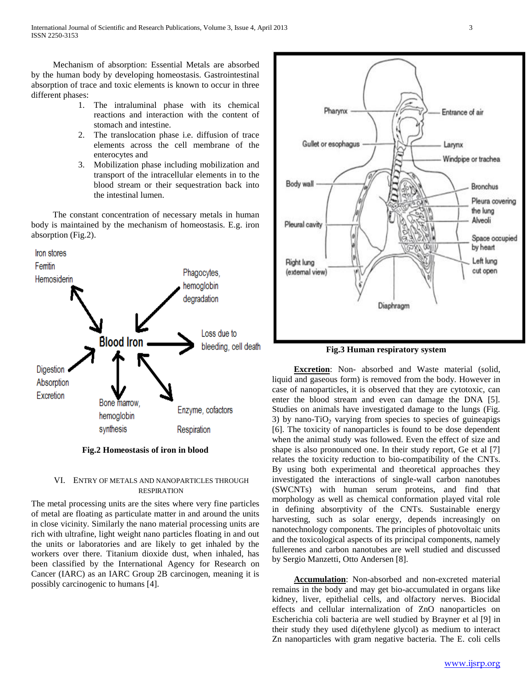Mechanism of absorption: Essential Metals are absorbed by the human body by developing homeostasis. Gastrointestinal absorption of trace and toxic elements is known to occur in three different phases:

- 1. The intraluminal phase with its chemical reactions and interaction with the content of stomach and intestine.
- 2. The translocation phase i.e. diffusion of trace elements across the cell membrane of the enterocytes and
- 3. Mobilization phase including mobilization and transport of the intracellular elements in to the blood stream or their sequestration back into the intestinal lumen.

 The constant concentration of necessary metals in human body is maintained by the mechanism of homeostasis. E.g. iron absorption (Fig.2).



**Fig.2 Homeostasis of iron in blood**

# VI. ENTRY OF METALS AND NANOPARTICLES THROUGH RESPIRATION

The metal processing units are the sites where very fine particles of metal are floating as particulate matter in and around the units in close vicinity. Similarly the nano material processing units are rich with ultrafine, light weight nano particles floating in and out the units or laboratories and are likely to get inhaled by the workers over there. Titanium dioxide dust, when inhaled, has been classified by the International Agency for Research on Cancer (IARC) as an IARC Group 2B carcinogen, meaning it is possibly carcinogenic to humans [4].





 **Excretion**: Non- absorbed and Waste material (solid, liquid and gaseous form) is removed from the body. However in case of nanoparticles, it is observed that they are cytotoxic, can enter the blood stream and even can damage the DNA [5]. Studies on animals have investigated damage to the lungs (Fig. 3) by nano-TiO<sub>2</sub> varying from species to species of guineapigs [6]. The toxicity of nanoparticles is found to be dose dependent when the animal study was followed. Even the effect of size and shape is also pronounced one. In their study report, Ge et al [7] relates the toxicity reduction to bio-compatibility of the CNTs. By using both experimental and theoretical approaches they investigated the interactions of single-wall carbon nanotubes (SWCNTs) with human serum proteins, and find that morphology as well as chemical conformation played vital role in defining absorptivity of the CNTs. Sustainable energy harvesting, such as solar energy, depends increasingly on nanotechnology components. The principles of photovoltaic units and the toxicological aspects of its principal components, namely fullerenes and carbon nanotubes are well studied and discussed by Sergio Manzetti, Otto Andersen [8].

 **Accumulation**: Non-absorbed and non-excreted material remains in the body and may get bio-accumulated in organs like kidney, liver, epithelial cells, and olfactory nerves. Biocidal effects and cellular internalization of ZnO nanoparticles on Escherichia coli bacteria are well studied by Brayner et al [9] in their study they used di(ethylene glycol) as medium to interact Zn nanoparticles with gram negative bacteria. The E. coli cells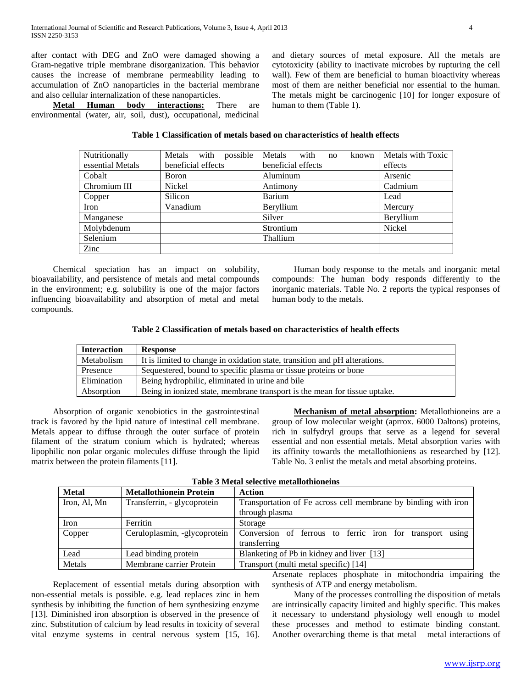after contact with DEG and ZnO were damaged showing a Gram-negative triple membrane disorganization. This behavior causes the increase of membrane permeability leading to accumulation of ZnO nanoparticles in the bacterial membrane and also cellular internalization of these nanoparticles.

 **Metal Human body interactions:** There are environmental (water, air, soil, dust), occupational, medicinal

and dietary sources of metal exposure. All the metals are cytotoxicity (ability to inactivate microbes by rupturing the cell wall). Few of them are beneficial to human bioactivity whereas most of them are neither beneficial nor essential to the human. The metals might be carcinogenic [10] for longer exposure of human to them (Table 1).

## **Table 1 Classification of metals based on characteristics of health effects**

| Nutritionally    | Metals with<br>possible | Metals<br>with<br>known<br>no | Metals with Toxic |
|------------------|-------------------------|-------------------------------|-------------------|
| essential Metals | beneficial effects      | beneficial effects            | effects           |
| Cobalt           | Boron                   | Aluminum                      | Arsenic           |
| Chromium III     | Nickel                  | Antimony                      | Cadmium           |
| Copper           | Silicon                 | Barium                        | Lead              |
| Iron             | Vanadium                | Beryllium                     | Mercury           |
| Manganese        |                         | Silver                        | Beryllium         |
| Molybdenum       |                         | Strontium                     | Nickel            |
| Selenium         |                         | Thallium                      |                   |
| Zinc             |                         |                               |                   |

 Chemical speciation has an impact on solubility, bioavailability, and persistence of metals and metal compounds in the environment; e.g. solubility is one of the major factors influencing bioavailability and absorption of metal and metal compounds.

 Human body response to the metals and inorganic metal compounds: The human body responds differently to the inorganic materials. Table No. 2 reports the typical responses of human body to the metals.

## **Table 2 Classification of metals based on characteristics of health effects**

| <b>Interaction</b> | <b>Response</b>                                                            |  |
|--------------------|----------------------------------------------------------------------------|--|
| Metabolism         | It is limited to change in oxidation state, transition and pH alterations. |  |
| Presence           | Sequestered, bound to specific plasma or tissue proteins or bone           |  |
| Elimination        | Being hydrophilic, eliminated in urine and bile                            |  |
| Absorption         | Being in ionized state, membrane transport is the mean for tissue uptake.  |  |

 Absorption of organic xenobiotics in the gastrointestinal track is favored by the lipid nature of intestinal cell membrane. Metals appear to diffuse through the outer surface of protein filament of the stratum conium which is hydrated; whereas lipophilic non polar organic molecules diffuse through the lipid matrix between the protein filaments [11].

 **Mechanism of metal absorption:** Metallothioneins are a group of low molecular weight (aprrox. 6000 Daltons) proteins, rich in sulfydryl groups that serve as a legend for several essential and non essential metals. Metal absorption varies with its affinity towards the metallothioniens as researched by [12]. Table No. 3 enlist the metals and metal absorbing proteins.

| <b>Metal</b> | <b>Metallothionein Protein</b> | Action                                                         |
|--------------|--------------------------------|----------------------------------------------------------------|
| Iron, Al, Mn | Transferrin, - glycoprotein    | Transportation of Fe across cell membrane by binding with iron |
|              |                                | through plasma                                                 |
| Iron         | Ferritin                       | Storage                                                        |
| Copper       | Ceruloplasmin, -glycoprotein   | Conversion of ferrous to ferric iron for transport using       |
|              |                                | transferring                                                   |
| Lead         | Lead binding protein           | Blanketing of Pb in kidney and liver [13]                      |
| Metals       | Membrane carrier Protein       | Transport (multi metal specific) [14]                          |

**Table 3 Metal selective metallothioneins**

 Replacement of essential metals during absorption with non-essential metals is possible. e.g. lead replaces zinc in hem synthesis by inhibiting the function of hem synthesizing enzyme [13]. Diminished iron absorption is observed in the presence of zinc. Substitution of calcium by lead results in toxicity of several vital enzyme systems in central nervous system [15, 16].

Arsenate replaces phosphate in mitochondria impairing the synthesis of ATP and energy metabolism.

 Many of the processes controlling the disposition of metals are intrinsically capacity limited and highly specific. This makes it necessary to understand physiology well enough to model these processes and method to estimate binding constant. Another overarching theme is that metal – metal interactions of